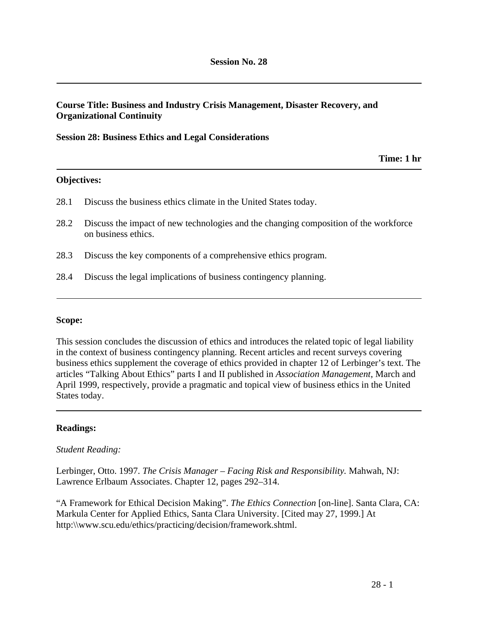# **Course Title: Business and Industry Crisis Management, Disaster Recovery, and Organizational Continuity**

#### **Session 28: Business Ethics and Legal Considerations**

**Time: 1 hr** 

### **Objectives:**

- 28.1 Discuss the business ethics climate in the United States today.
- 28.2 Discuss the impact of new technologies and the changing composition of the workforce on business ethics.
- 28.3 Discuss the key components of a comprehensive ethics program.
- 28.4 Discuss the legal implications of business contingency planning.

#### **Scope:**

This session concludes the discussion of ethics and introduces the related topic of legal liability in the context of business contingency planning. Recent articles and recent surveys covering business ethics supplement the coverage of ethics provided in chapter 12 of Lerbinger's text. The articles "Talking About Ethics" parts I and II published in *Association Management*, March and April 1999, respectively, provide a pragmatic and topical view of business ethics in the United States today.

### **Readings:**

#### *Student Reading:*

Lerbinger, Otto. 1997. *The Crisis Manager – Facing Risk and Responsibility.* Mahwah, NJ: Lawrence Erlbaum Associates. Chapter 12, pages 292–314.

"A Framework for Ethical Decision Making". *The Ethics Connection* [on-line]. Santa Clara, CA: Markula Center for Applied Ethics, Santa Clara University. [Cited may 27, 1999.] At http:\\www.scu.edu/ethics/practicing/decision/framework.shtml.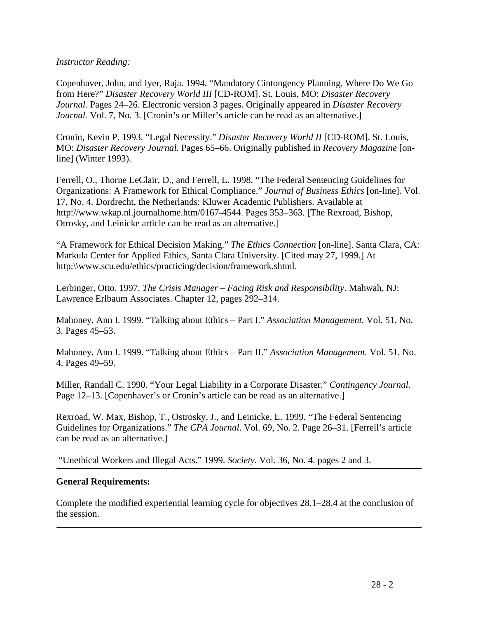### *Instructor Reading:*

Copenhaver, John, and Iyer, Raja. 1994. "Mandatory Cintongency Planning, Where Do We Go from Here?" *Disaster Recovery World III* [CD-ROM]. St. Louis, MO: *Disaster Recovery Journal.* Pages 24–26. Electronic version 3 pages. Originally appeared in *Disaster Recovery Journal.* Vol. 7, No. 3. [Cronin's or Miller's article can be read as an alternative.]

Cronin, Kevin P. 1993. "Legal Necessity." *Disaster Recovery World II* [CD-ROM]. St. Louis, MO: *Disaster Recovery Journal.* Pages 65–66. Originally published in *Recovery Magazine* [online] (Winter 1993).

Ferrell, O., Thorne LeClair, D., and Ferrell, L. 1998. "The Federal Sentencing Guidelines for Organizations: A Framework for Ethical Compliance." *Journal of Business Ethics* [on-line]. Vol. 17, No. 4. Dordrecht, the Netherlands: Kluwer Academic Publishers. Available at http://www.wkap.nl.journalhome.htm/0167-4544. Pages 353–363. [The Rexroad, Bishop, Otrosky, and Leinicke article can be read as an alternative.]

"A Framework for Ethical Decision Making." *The Ethics Connection* [on-line]. Santa Clara, CA: Markula Center for Applied Ethics, Santa Clara University. [Cited may 27, 1999.] At http:\\www.scu.edu/ethics/practicing/decision/framework.shtml.

Lerbinger, Otto. 1997. *The Crisis Manager – Facing Risk and Responsibility*. Mahwah, NJ: Lawrence Erlbaum Associates. Chapter 12, pages 292–314.

Mahoney, Ann I. 1999. "Talking about Ethics – Part I." *Association Management.* Vol. 51, No. 3. Pages 45–53.

Mahoney, Ann I. 1999. "Talking about Ethics – Part II." *Association Management.* Vol. 51, No. 4. Pages 49–59.

Miller, Randall C. 1990. "Your Legal Liability in a Corporate Disaster." *Contingency Journal.* Page 12–13. [Copenhaver's or Cronin's article can be read as an alternative.]

Rexroad, W. Max, Bishop, T., Ostrosky, J., and Leinicke, L. 1999. "The Federal Sentencing Guidelines for Organizations." *The CPA Journal*. Vol. 69, No. 2. Page 26–31. [Ferrell's article can be read as an alternative.]

"Unethical Workers and Illegal Acts." 1999. *Society.* Vol. 36, No. 4. pages 2 and 3.

### **General Requirements:**

Complete the modified experiential learning cycle for objectives 28.1–28.4 at the conclusion of the session.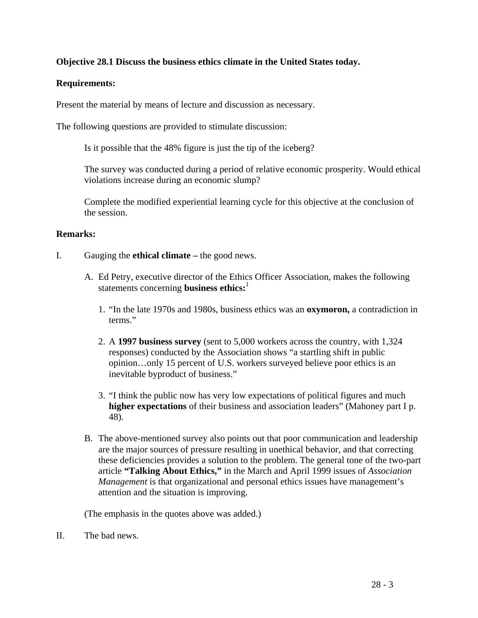# **Objective 28.1 Discuss the business ethics climate in the United States today.**

## **Requirements:**

Present the material by means of lecture and discussion as necessary.

The following questions are provided to stimulate discussion:

Is it possible that the 48% figure is just the tip of the iceberg?

The survey was conducted during a period of relative economic prosperity. Would ethical violations increase during an economic slump?

Complete the modified experiential learning cycle for this objective at the conclusion of the session.

### **Remarks:**

- I. Gauging the **ethical climate** the good news.
	- A. Ed Petry, executive director of the Ethics Officer Association, makes the following statements concerning **business ethics:**<sup>1</sup>
		- 1. "In the late 1970s and 1980s, business ethics was an **oxymoron,** a contradiction in terms"
		- 2. A **1997 business survey** (sent to 5,000 workers across the country, with 1,324 responses) conducted by the Association shows "a startling shift in public opinion…only 15 percent of U.S. workers surveyed believe poor ethics is an inevitable byproduct of business."
		- 3. "I think the public now has very low expectations of political figures and much **higher expectations** of their business and association leaders" (Mahoney part I p. 48).
	- B. The above-mentioned survey also points out that poor communication and leadership are the major sources of pressure resulting in unethical behavior, and that correcting these deficiencies provides a solution to the problem. The general tone of the two-part article **"Talking About Ethics,"** in the March and April 1999 issues of *Association Management* is that organizational and personal ethics issues have management's attention and the situation is improving.

(The emphasis in the quotes above was added.)

II. The bad news.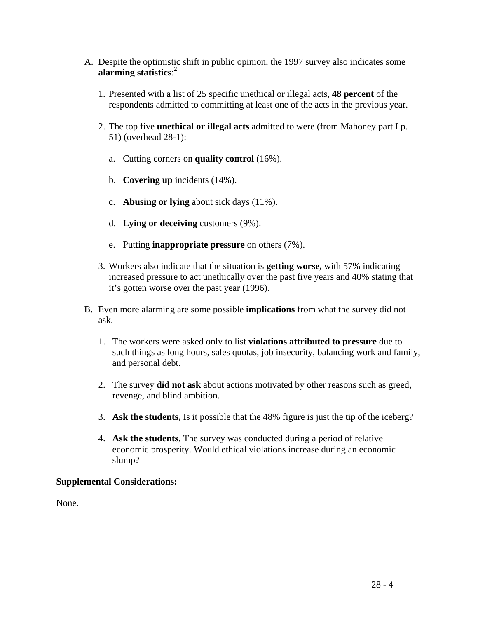- A. Despite the optimistic shift in public opinion, the 1997 survey also indicates some **alarming statistics**: 2
	- 1. Presented with a list of 25 specific unethical or illegal acts, **48 percent** of the respondents admitted to committing at least one of the acts in the previous year.
	- 2. The top five **unethical or illegal acts** admitted to were (from Mahoney part I p. 51) (overhead 28-1):
		- a. Cutting corners on **quality control** (16%).
		- b. **Covering up** incidents (14%).
		- c. **Abusing or lying** about sick days (11%).
		- d. **Lying or deceiving** customers (9%).
		- e. Putting **inappropriate pressure** on others (7%).
	- 3. Workers also indicate that the situation is **getting worse,** with 57% indicating increased pressure to act unethically over the past five years and 40% stating that it's gotten worse over the past year (1996).
- B. Even more alarming are some possible **implications** from what the survey did not ask.
	- 1. The workers were asked only to list **violations attributed to pressure** due to such things as long hours, sales quotas, job insecurity, balancing work and family, and personal debt.
	- 2. The survey **did not ask** about actions motivated by other reasons such as greed, revenge, and blind ambition.
	- 3. **Ask the students,** Is it possible that the 48% figure is just the tip of the iceberg?
	- 4. **Ask the students**, The survey was conducted during a period of relative economic prosperity. Would ethical violations increase during an economic slump?

### **Supplemental Considerations:**

None.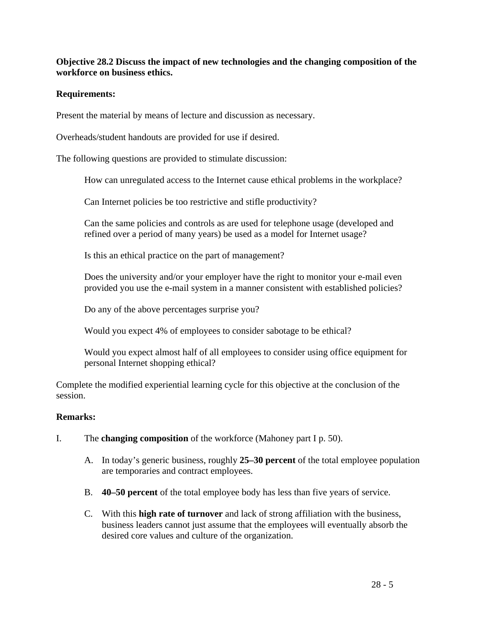# **Objective 28.2 Discuss the impact of new technologies and the changing composition of the workforce on business ethics.**

# **Requirements:**

Present the material by means of lecture and discussion as necessary.

Overheads/student handouts are provided for use if desired.

The following questions are provided to stimulate discussion:

How can unregulated access to the Internet cause ethical problems in the workplace?

Can Internet policies be too restrictive and stifle productivity?

Can the same policies and controls as are used for telephone usage (developed and refined over a period of many years) be used as a model for Internet usage?

Is this an ethical practice on the part of management?

Does the university and/or your employer have the right to monitor your e-mail even provided you use the e-mail system in a manner consistent with established policies?

Do any of the above percentages surprise you?

Would you expect 4% of employees to consider sabotage to be ethical?

Would you expect almost half of all employees to consider using office equipment for personal Internet shopping ethical?

Complete the modified experiential learning cycle for this objective at the conclusion of the session.

# **Remarks:**

- I. The **changing composition** of the workforce (Mahoney part I p. 50).
	- A. In today's generic business, roughly **25–30 percent** of the total employee population are temporaries and contract employees.
	- B. **40–50 percent** of the total employee body has less than five years of service.
	- C. With this **high rate of turnover** and lack of strong affiliation with the business, business leaders cannot just assume that the employees will eventually absorb the desired core values and culture of the organization.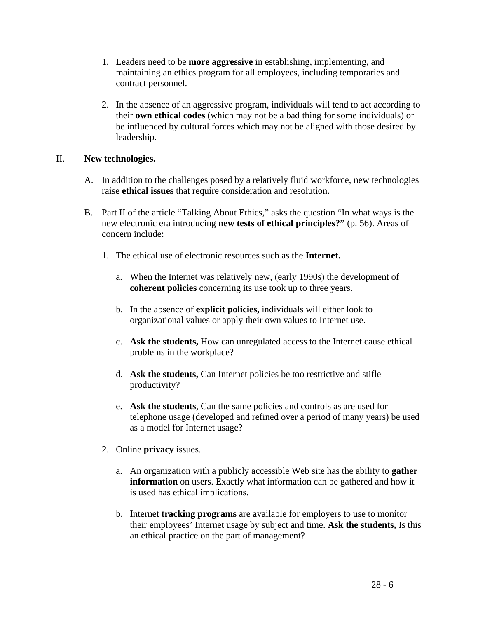- 1. Leaders need to be **more aggressive** in establishing, implementing, and maintaining an ethics program for all employees, including temporaries and contract personnel.
- 2. In the absence of an aggressive program, individuals will tend to act according to their **own ethical codes** (which may not be a bad thing for some individuals) or be influenced by cultural forces which may not be aligned with those desired by leadership.

### II. **New technologies.**

- A. In addition to the challenges posed by a relatively fluid workforce, new technologies raise **ethical issues** that require consideration and resolution.
- B. Part II of the article "Talking About Ethics," asks the question "In what ways is the new electronic era introducing **new tests of ethical principles?"** (p. 56). Areas of concern include:
	- 1. The ethical use of electronic resources such as the **Internet.**
		- a. When the Internet was relatively new, (early 1990s) the development of **coherent policies** concerning its use took up to three years.
		- b. In the absence of **explicit policies,** individuals will either look to organizational values or apply their own values to Internet use.
		- c. **Ask the students,** How can unregulated access to the Internet cause ethical problems in the workplace?
		- d. **Ask the students,** Can Internet policies be too restrictive and stifle productivity?
		- e. **Ask the students**, Can the same policies and controls as are used for telephone usage (developed and refined over a period of many years) be used as a model for Internet usage?
	- 2. Online **privacy** issues.
		- a. An organization with a publicly accessible Web site has the ability to **gather information** on users. Exactly what information can be gathered and how it is used has ethical implications.
		- b. Internet **tracking programs** are available for employers to use to monitor their employees' Internet usage by subject and time. **Ask the students,** Is this an ethical practice on the part of management?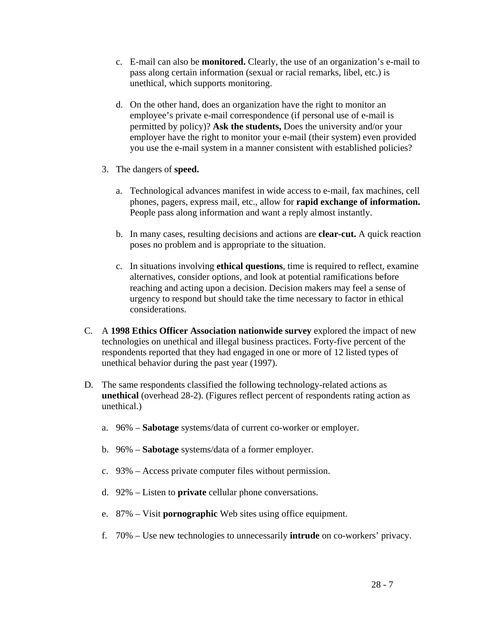- c. E-mail can also be **monitored.** Clearly, the use of an organization's e-mail to pass along certain information (sexual or racial remarks, libel, etc.) is unethical, which supports monitoring.
- d. On the other hand, does an organization have the right to monitor an employee's private e-mail correspondence (if personal use of e-mail is permitted by policy)? **Ask the students,** Does the university and/or your employer have the right to monitor your e-mail (their system) even provided you use the e-mail system in a manner consistent with established policies?
- 3. The dangers of **speed.**
	- a. Technological advances manifest in wide access to e-mail, fax machines, cell phones, pagers, express mail, etc., allow for **rapid exchange of information.** People pass along information and want a reply almost instantly.
	- b. In many cases, resulting decisions and actions are **clear-cut.** A quick reaction poses no problem and is appropriate to the situation.
	- c. In situations involving **ethical questions**, time is required to reflect, examine alternatives, consider options, and look at potential ramifications before reaching and acting upon a decision. Decision makers may feel a sense of urgency to respond but should take the time necessary to factor in ethical considerations.
- C. A **1998 Ethics Officer Association nationwide survey** explored the impact of new technologies on unethical and illegal business practices. Forty-five percent of the respondents reported that they had engaged in one or more of 12 listed types of unethical behavior during the past year (1997).
- D. The same respondents classified the following technology-related actions as **unethical** (overhead 28-2). (Figures reflect percent of respondents rating action as unethical.)
	- a. 96% **Sabotage** systems/data of current co-worker or employer.
	- b. 96% **Sabotage** systems/data of a former employer.
	- c. 93% Access private computer files without permission.
	- d. 92% Listen to **private** cellular phone conversations.
	- e. 87% Visit **pornographic** Web sites using office equipment.
	- f. 70% Use new technologies to unnecessarily **intrude** on co-workers' privacy.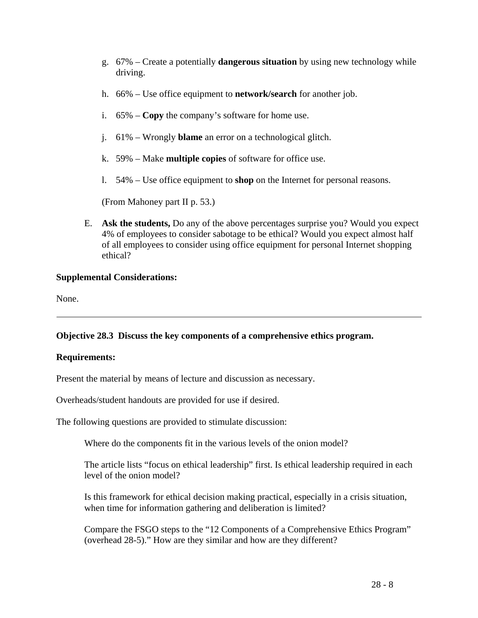- g. 67% Create a potentially **dangerous situation** by using new technology while driving.
- h. 66% Use office equipment to **network/search** for another job.
- i. 65% **Copy** the company's software for home use.
- j. 61% Wrongly **blame** an error on a technological glitch.
- k. 59% Make **multiple copies** of software for office use.
- l. 54% Use office equipment to **shop** on the Internet for personal reasons.

(From Mahoney part II p. 53.)

E. **Ask the students,** Do any of the above percentages surprise you? Would you expect 4% of employees to consider sabotage to be ethical? Would you expect almost half of all employees to consider using office equipment for personal Internet shopping ethical?

### **Supplemental Considerations:**

None.

# **Objective 28.3 Discuss the key components of a comprehensive ethics program.**

### **Requirements:**

Present the material by means of lecture and discussion as necessary.

Overheads/student handouts are provided for use if desired.

The following questions are provided to stimulate discussion:

Where do the components fit in the various levels of the onion model?

The article lists "focus on ethical leadership" first. Is ethical leadership required in each level of the onion model?

Is this framework for ethical decision making practical, especially in a crisis situation, when time for information gathering and deliberation is limited?

Compare the FSGO steps to the "12 Components of a Comprehensive Ethics Program" (overhead 28-5)." How are they similar and how are they different?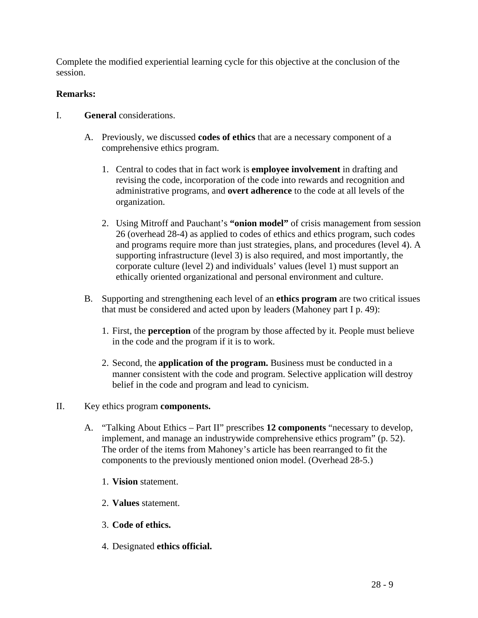Complete the modified experiential learning cycle for this objective at the conclusion of the session.

# **Remarks:**

- I. **General** considerations.
	- A. Previously, we discussed **codes of ethics** that are a necessary component of a comprehensive ethics program.
		- 1. Central to codes that in fact work is **employee involvement** in drafting and revising the code, incorporation of the code into rewards and recognition and administrative programs, and **overt adherence** to the code at all levels of the organization.
		- 2. Using Mitroff and Pauchant's **"onion model"** of crisis management from session 26 (overhead 28-4) as applied to codes of ethics and ethics program, such codes and programs require more than just strategies, plans, and procedures (level 4). A supporting infrastructure (level 3) is also required, and most importantly, the corporate culture (level 2) and individuals' values (level 1) must support an ethically oriented organizational and personal environment and culture.
	- B. Supporting and strengthening each level of an **ethics program** are two critical issues that must be considered and acted upon by leaders (Mahoney part I p. 49):
		- 1. First, the **perception** of the program by those affected by it. People must believe in the code and the program if it is to work.
		- 2. Second, the **application of the program.** Business must be conducted in a manner consistent with the code and program. Selective application will destroy belief in the code and program and lead to cynicism.

# II. Key ethics program **components.**

- A. "Talking About Ethics Part II" prescribes **12 components** "necessary to develop, implement, and manage an industrywide comprehensive ethics program" (p. 52). The order of the items from Mahoney's article has been rearranged to fit the components to the previously mentioned onion model. (Overhead 28-5.)
	- 1. **Vision** statement.
	- 2. **Values** statement.
	- 3. **Code of ethics.**
	- 4. Designated **ethics official.**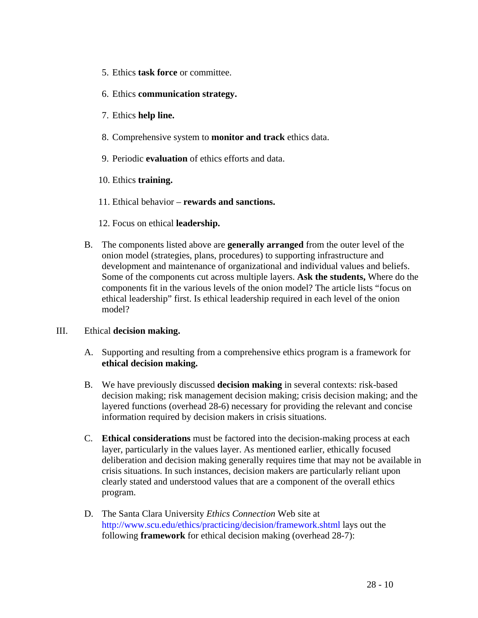- 5. Ethics **task force** or committee.
- 6. Ethics **communication strategy.**
- 7. Ethics **help line.**
- 8. Comprehensive system to **monitor and track** ethics data.
- 9. Periodic **evaluation** of ethics efforts and data.
- 10. Ethics **training.**
- 11. Ethical behavior **rewards and sanctions.**
- 12. Focus on ethical **leadership.**
- B. The components listed above are **generally arranged** from the outer level of the onion model (strategies, plans, procedures) to supporting infrastructure and development and maintenance of organizational and individual values and beliefs. Some of the components cut across multiple layers. **Ask the students,** Where do the components fit in the various levels of the onion model? The article lists "focus on ethical leadership" first. Is ethical leadership required in each level of the onion model?

### III. Ethical **decision making.**

- A. Supporting and resulting from a comprehensive ethics program is a framework for **ethical decision making.**
- B. We have previously discussed **decision making** in several contexts: risk-based decision making; risk management decision making; crisis decision making; and the layered functions (overhead 28-6) necessary for providing the relevant and concise information required by decision makers in crisis situations.
- C. **Ethical considerations** must be factored into the decision-making process at each layer, particularly in the values layer. As mentioned earlier, ethically focused deliberation and decision making generally requires time that may not be available in crisis situations. In such instances, decision makers are particularly reliant upon clearly stated and understood values that are a component of the overall ethics program.
- D. The Santa Clara University *Ethics Connection* Web site at http://www.scu.edu/ethics/practicing/decision/framework.shtml lays out the following **framework** for ethical decision making (overhead 28-7):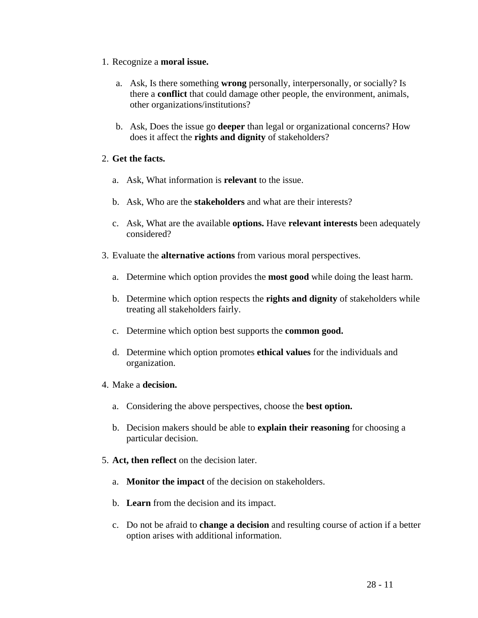- 1. Recognize a **moral issue.**
	- a. Ask, Is there something **wrong** personally, interpersonally, or socially? Is there a **conflict** that could damage other people, the environment, animals, other organizations/institutions?
	- b. Ask, Does the issue go **deeper** than legal or organizational concerns? How does it affect the **rights and dignity** of stakeholders?

# 2. **Get the facts.**

- a. Ask, What information is **relevant** to the issue.
- b. Ask, Who are the **stakeholders** and what are their interests?
- c. Ask, What are the available **options.** Have **relevant interests** been adequately considered?
- 3. Evaluate the **alternative actions** from various moral perspectives.
	- a. Determine which option provides the **most good** while doing the least harm.
	- b. Determine which option respects the **rights and dignity** of stakeholders while treating all stakeholders fairly.
	- c. Determine which option best supports the **common good.**
	- d. Determine which option promotes **ethical values** for the individuals and organization.
- 4. Make a **decision.**
	- a. Considering the above perspectives, choose the **best option.**
	- b. Decision makers should be able to **explain their reasoning** for choosing a particular decision.
- 5. **Act, then reflect** on the decision later.
	- a. **Monitor the impact** of the decision on stakeholders.
	- b. **Learn** from the decision and its impact.
	- c. Do not be afraid to **change a decision** and resulting course of action if a better option arises with additional information.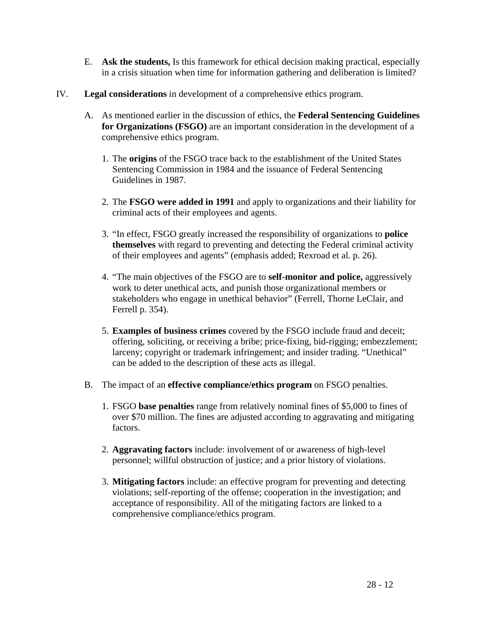- E. **Ask the students,** Is this framework for ethical decision making practical, especially in a crisis situation when time for information gathering and deliberation is limited?
- IV. **Legal considerations** in development of a comprehensive ethics program.
	- A. As mentioned earlier in the discussion of ethics, the **Federal Sentencing Guidelines for Organizations (FSGO)** are an important consideration in the development of a comprehensive ethics program.
		- 1. The **origins** of the FSGO trace back to the establishment of the United States Sentencing Commission in 1984 and the issuance of Federal Sentencing Guidelines in 1987.
		- 2. The **FSGO were added in 1991** and apply to organizations and their liability for criminal acts of their employees and agents.
		- 3. "In effect, FSGO greatly increased the responsibility of organizations to **police themselves** with regard to preventing and detecting the Federal criminal activity of their employees and agents" (emphasis added; Rexroad et al. p. 26).
		- 4. "The main objectives of the FSGO are to **self-monitor and police,** aggressively work to deter unethical acts, and punish those organizational members or stakeholders who engage in unethical behavior" (Ferrell, Thorne LeClair, and Ferrell p. 354).
		- 5. **Examples of business crimes** covered by the FSGO include fraud and deceit; offering, soliciting, or receiving a bribe; price-fixing, bid-rigging; embezzlement; larceny; copyright or trademark infringement; and insider trading. "Unethical" can be added to the description of these acts as illegal.
	- B. The impact of an **effective compliance/ethics program** on FSGO penalties.
		- 1. FSGO **base penalties** range from relatively nominal fines of \$5,000 to fines of over \$70 million. The fines are adjusted according to aggravating and mitigating factors.
		- 2. **Aggravating factors** include: involvement of or awareness of high-level personnel; willful obstruction of justice; and a prior history of violations.
		- 3. **Mitigating factors** include: an effective program for preventing and detecting violations; self-reporting of the offense; cooperation in the investigation; and acceptance of responsibility. All of the mitigating factors are linked to a comprehensive compliance/ethics program.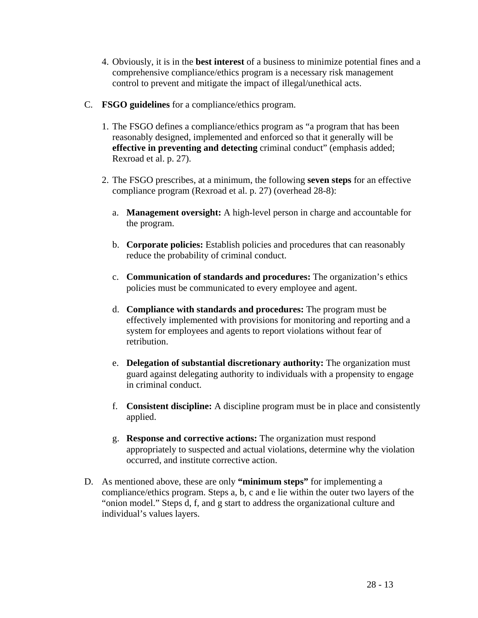- 4. Obviously, it is in the **best interest** of a business to minimize potential fines and a comprehensive compliance/ethics program is a necessary risk management control to prevent and mitigate the impact of illegal/unethical acts.
- C. **FSGO guidelines** for a compliance/ethics program.
	- 1. The FSGO defines a compliance/ethics program as "a program that has been reasonably designed, implemented and enforced so that it generally will be **effective in preventing and detecting** criminal conduct" (emphasis added; Rexroad et al. p. 27).
	- 2. The FSGO prescribes, at a minimum, the following **seven steps** for an effective compliance program (Rexroad et al. p. 27) (overhead 28-8):
		- a. **Management oversight:** A high-level person in charge and accountable for the program.
		- b. **Corporate policies:** Establish policies and procedures that can reasonably reduce the probability of criminal conduct.
		- c. **Communication of standards and procedures:** The organization's ethics policies must be communicated to every employee and agent.
		- d. **Compliance with standards and procedures:** The program must be effectively implemented with provisions for monitoring and reporting and a system for employees and agents to report violations without fear of retribution.
		- e. **Delegation of substantial discretionary authority:** The organization must guard against delegating authority to individuals with a propensity to engage in criminal conduct.
		- f. **Consistent discipline:** A discipline program must be in place and consistently applied.
		- g. **Response and corrective actions:** The organization must respond appropriately to suspected and actual violations, determine why the violation occurred, and institute corrective action.
- D. As mentioned above, these are only **"minimum steps"** for implementing a compliance/ethics program. Steps a, b, c and e lie within the outer two layers of the "onion model." Steps d, f, and g start to address the organizational culture and individual's values layers.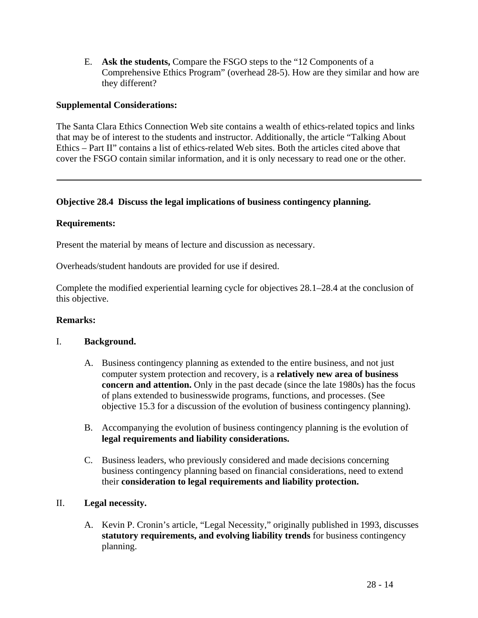E. **Ask the students,** Compare the FSGO steps to the "12 Components of a Comprehensive Ethics Program" (overhead 28-5). How are they similar and how are they different?

### **Supplemental Considerations:**

The Santa Clara Ethics Connection Web site contains a wealth of ethics-related topics and links that may be of interest to the students and instructor. Additionally, the article "Talking About Ethics – Part II" contains a list of ethics-related Web sites. Both the articles cited above that cover the FSGO contain similar information, and it is only necessary to read one or the other.

### **Objective 28.4 Discuss the legal implications of business contingency planning.**

### **Requirements:**

Present the material by means of lecture and discussion as necessary.

Overheads/student handouts are provided for use if desired.

Complete the modified experiential learning cycle for objectives 28.1–28.4 at the conclusion of this objective.

### **Remarks:**

### I. **Background.**

- A. Business contingency planning as extended to the entire business, and not just computer system protection and recovery, is a **relatively new area of business concern and attention.** Only in the past decade (since the late 1980s) has the focus of plans extended to businesswide programs, functions, and processes. (See objective 15.3 for a discussion of the evolution of business contingency planning).
- B. Accompanying the evolution of business contingency planning is the evolution of **legal requirements and liability considerations.**
- C. Business leaders, who previously considered and made decisions concerning business contingency planning based on financial considerations, need to extend their **consideration to legal requirements and liability protection.**

### II. **Legal necessity.**

A. Kevin P. Cronin's article, "Legal Necessity," originally published in 1993, discusses **statutory requirements, and evolving liability trends** for business contingency planning.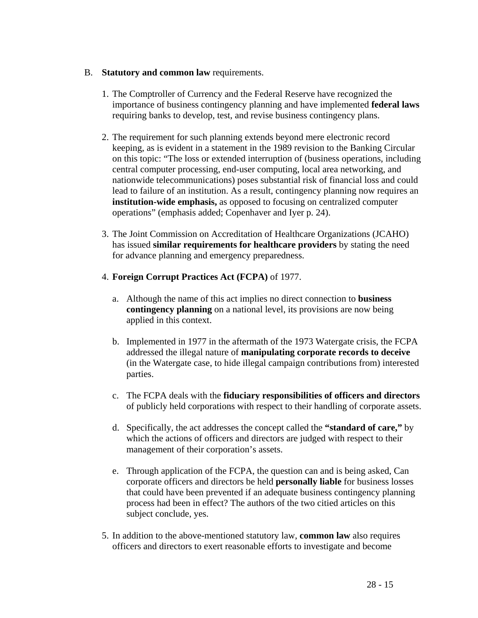### B. **Statutory and common law** requirements.

- 1. The Comptroller of Currency and the Federal Reserve have recognized the importance of business contingency planning and have implemented **federal laws** requiring banks to develop, test, and revise business contingency plans.
- 2. The requirement for such planning extends beyond mere electronic record keeping, as is evident in a statement in the 1989 revision to the Banking Circular on this topic: "The loss or extended interruption of (business operations, including central computer processing, end-user computing, local area networking, and nationwide telecommunications) poses substantial risk of financial loss and could lead to failure of an institution. As a result, contingency planning now requires an **institution-wide emphasis,** as opposed to focusing on centralized computer operations" (emphasis added; Copenhaver and Iyer p. 24).
- 3. The Joint Commission on Accreditation of Healthcare Organizations (JCAHO) has issued **similar requirements for healthcare providers** by stating the need for advance planning and emergency preparedness.
- 4. **Foreign Corrupt Practices Act (FCPA)** of 1977.
	- a. Although the name of this act implies no direct connection to **business contingency planning** on a national level, its provisions are now being applied in this context.
	- b. Implemented in 1977 in the aftermath of the 1973 Watergate crisis, the FCPA addressed the illegal nature of **manipulating corporate records to deceive**  (in the Watergate case, to hide illegal campaign contributions from) interested parties.
	- c. The FCPA deals with the **fiduciary responsibilities of officers and directors**  of publicly held corporations with respect to their handling of corporate assets.
	- d. Specifically, the act addresses the concept called the **"standard of care,"** by which the actions of officers and directors are judged with respect to their management of their corporation's assets.
	- e. Through application of the FCPA, the question can and is being asked, Can corporate officers and directors be held **personally liable** for business losses that could have been prevented if an adequate business contingency planning process had been in effect? The authors of the two citied articles on this subject conclude, yes.
- 5. In addition to the above-mentioned statutory law, **common law** also requires officers and directors to exert reasonable efforts to investigate and become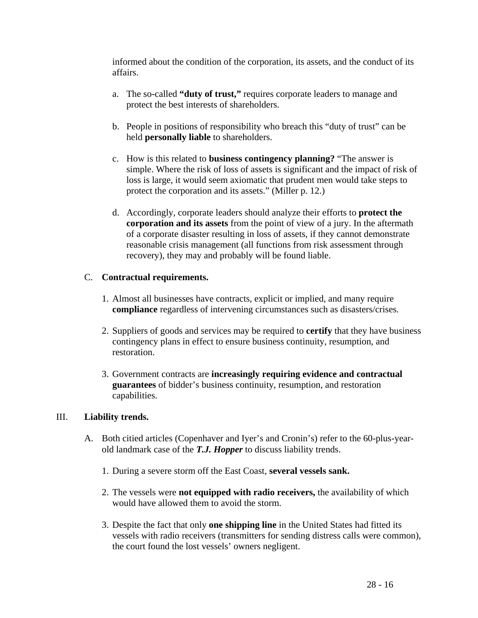informed about the condition of the corporation, its assets, and the conduct of its affairs.

- a. The so-called **"duty of trust,"** requires corporate leaders to manage and protect the best interests of shareholders.
- b. People in positions of responsibility who breach this "duty of trust" can be held **personally liable** to shareholders.
- c. How is this related to **business contingency planning?** "The answer is simple. Where the risk of loss of assets is significant and the impact of risk of loss is large, it would seem axiomatic that prudent men would take steps to protect the corporation and its assets." (Miller p. 12.)
- d. Accordingly, corporate leaders should analyze their efforts to **protect the corporation and its assets** from the point of view of a jury. In the aftermath of a corporate disaster resulting in loss of assets, if they cannot demonstrate reasonable crisis management (all functions from risk assessment through recovery), they may and probably will be found liable.

### C. **Contractual requirements.**

- 1. Almost all businesses have contracts, explicit or implied, and many require **compliance** regardless of intervening circumstances such as disasters/crises.
- 2. Suppliers of goods and services may be required to **certify** that they have business contingency plans in effect to ensure business continuity, resumption, and restoration.
- 3. Government contracts are **increasingly requiring evidence and contractual guarantees** of bidder's business continuity, resumption, and restoration capabilities.

### III. **Liability trends.**

- A. Both citied articles (Copenhaver and Iyer's and Cronin's) refer to the 60-plus-yearold landmark case of the *T.J. Hopper* to discuss liability trends.
	- 1. During a severe storm off the East Coast, **several vessels sank.**
	- 2. The vessels were **not equipped with radio receivers,** the availability of which would have allowed them to avoid the storm.
	- 3. Despite the fact that only **one shipping line** in the United States had fitted its vessels with radio receivers (transmitters for sending distress calls were common), the court found the lost vessels' owners negligent.